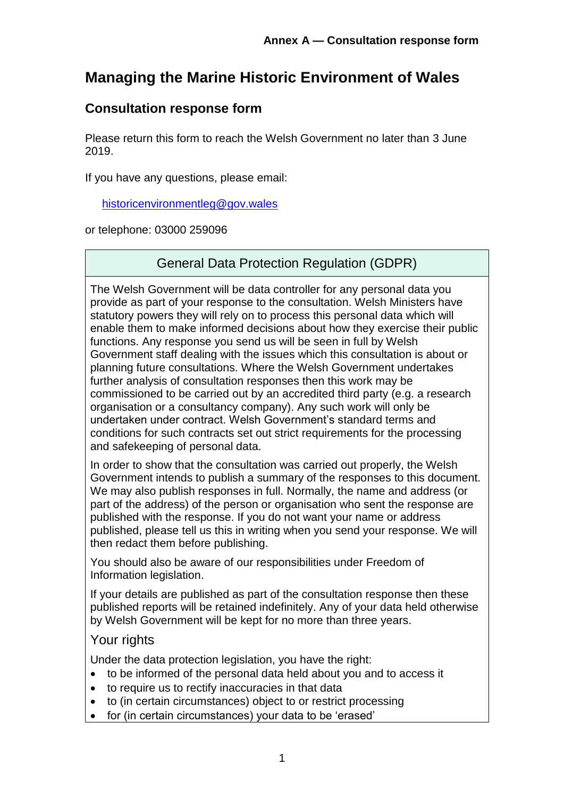# **Managing the Marine Historic Environment of Wales**

## **Consultation response form**

Please return this form to reach the Welsh Government no later than 3 June 2019.

If you have any questions, please email:

[historicenvironmentleg@gov.wales](mailto:historicenvironmentleg@gov.wales)

or telephone: 03000 259096

#### General Data Protection Regulation (GDPR)

The Welsh Government will be data controller for any personal data you provide as part of your response to the consultation. Welsh Ministers have statutory powers they will rely on to process this personal data which will enable them to make informed decisions about how they exercise their public functions. Any response you send us will be seen in full by Welsh Government staff dealing with the issues which this consultation is about or planning future consultations. Where the Welsh Government undertakes further analysis of consultation responses then this work may be commissioned to be carried out by an accredited third party (e.g. a research organisation or a consultancy company). Any such work will only be undertaken under contract. Welsh Government's standard terms and conditions for such contracts set out strict requirements for the processing and safekeeping of personal data.

In order to show that the consultation was carried out properly, the Welsh Government intends to publish a summary of the responses to this document. We may also publish responses in full. Normally, the name and address (or part of the address) of the person or organisation who sent the response are published with the response. If you do not want your name or address published, please tell us this in writing when you send your response. We will then redact them before publishing.

You should also be aware of our responsibilities under Freedom of Information legislation.

If your details are published as part of the consultation response then these published reports will be retained indefinitely. Any of your data held otherwise by Welsh Government will be kept for no more than three years.

#### Your rights

Under the data protection legislation, you have the right:

- to be informed of the personal data held about you and to access it
- to require us to rectify inaccuracies in that data
- to (in certain circumstances) object to or restrict processing
- for (in certain circumstances) your data to be 'erased'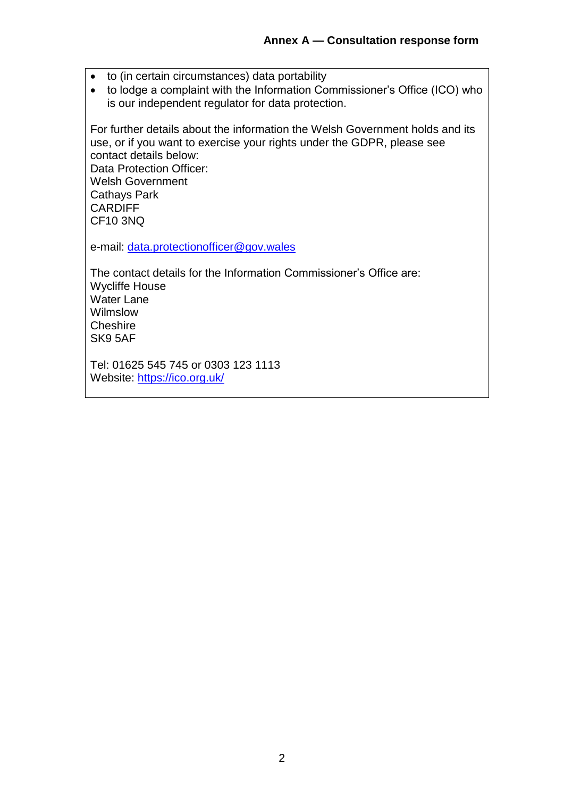- to (in certain circumstances) data portability
- to lodge a complaint with the Information Commissioner's Office (ICO) who is our independent regulator for data protection.

For further details about the information the Welsh Government holds and its use, or if you want to exercise your rights under the GDPR, please see contact details below: Data Protection Officer: Welsh Government Cathays Park CARDIFF CF10 3NQ

e-mail: [data.protectionofficer@gov.wales](mailto:data.protectionofficer@gov.wales)

The contact details for the Information Commissioner's Office are: Wycliffe House Water Lane Wilmslow **Cheshire** SK9 5AF

Tel: 01625 545 745 or 0303 123 1113 Website: <https://ico.org.uk/>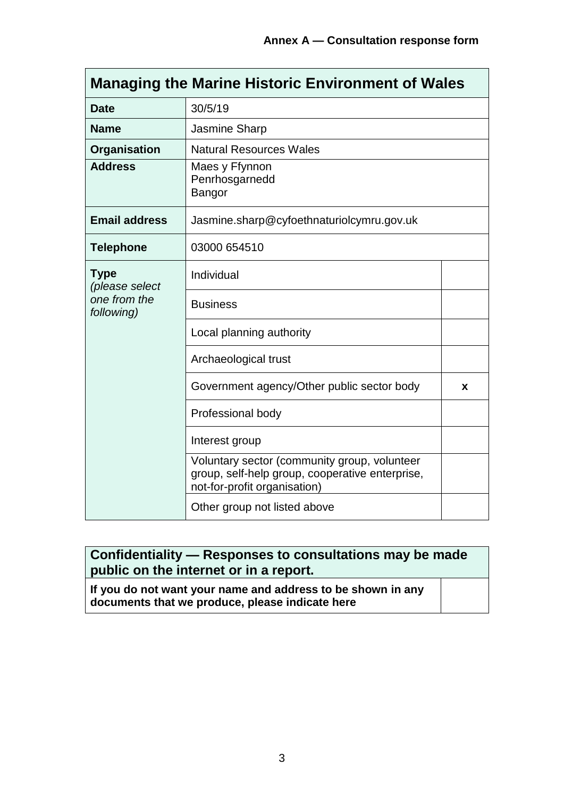$\blacksquare$ 

| <b>Managing the Marine Historic Environment of Wales</b>    |                                                                                                                                 |   |  |  |
|-------------------------------------------------------------|---------------------------------------------------------------------------------------------------------------------------------|---|--|--|
| <b>Date</b>                                                 | 30/5/19                                                                                                                         |   |  |  |
| <b>Name</b>                                                 | Jasmine Sharp                                                                                                                   |   |  |  |
| Organisation                                                | <b>Natural Resources Wales</b>                                                                                                  |   |  |  |
| <b>Address</b>                                              | Maes y Ffynnon<br>Penrhosgarnedd<br>Bangor                                                                                      |   |  |  |
| <b>Email address</b>                                        | Jasmine.sharp@cyfoethnaturiolcymru.gov.uk                                                                                       |   |  |  |
| <b>Telephone</b>                                            | 03000 654510                                                                                                                    |   |  |  |
| <b>Type</b><br>(please select<br>one from the<br>following) | Individual                                                                                                                      |   |  |  |
|                                                             | <b>Business</b>                                                                                                                 |   |  |  |
|                                                             | Local planning authority                                                                                                        |   |  |  |
|                                                             | Archaeological trust                                                                                                            |   |  |  |
|                                                             | Government agency/Other public sector body                                                                                      | x |  |  |
|                                                             | Professional body                                                                                                               |   |  |  |
|                                                             | Interest group                                                                                                                  |   |  |  |
|                                                             | Voluntary sector (community group, volunteer<br>group, self-help group, cooperative enterprise,<br>not-for-profit organisation) |   |  |  |
|                                                             | Other group not listed above                                                                                                    |   |  |  |

## **Confidentiality — Responses to consultations may be made public on the internet or in a report.**

**If you do not want your name and address to be shown in any documents that we produce, please indicate here**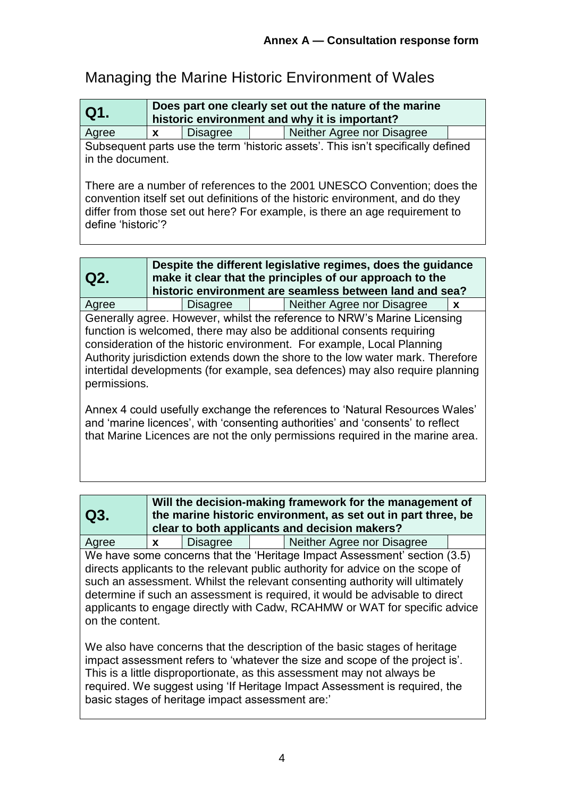# Managing the Marine Historic Environment of Wales

| Q1.   | Does part one clearly set out the nature of the marine<br>historic environment and why it is important? |                 |  |                            |  |
|-------|---------------------------------------------------------------------------------------------------------|-----------------|--|----------------------------|--|
| Agree |                                                                                                         | <b>Disagree</b> |  | Neither Agree nor Disagree |  |

Subsequent parts use the term 'historic assets'. This isn't specifically defined in the document.

There are a number of references to the 2001 UNESCO Convention; does the convention itself set out definitions of the historic environment, and do they differ from those set out here? For example, is there an age requirement to define 'historic'?

| Q2.          |          | Despite the different legislative regimes, does the guidance<br>make it clear that the principles of our approach to the<br>historic environment are seamless between land and sea?                                                                                                                                                                                                            |             |
|--------------|----------|------------------------------------------------------------------------------------------------------------------------------------------------------------------------------------------------------------------------------------------------------------------------------------------------------------------------------------------------------------------------------------------------|-------------|
| Agree        | Disagree | Neither Agree nor Disagree                                                                                                                                                                                                                                                                                                                                                                     | $\mathbf x$ |
| permissions. |          | Generally agree. However, whilst the reference to NRW's Marine Licensing<br>function is welcomed, there may also be additional consents requiring<br>consideration of the historic environment. For example, Local Planning<br>Authority jurisdiction extends down the shore to the low water mark. Therefore<br>intertidal developments (for example, sea defences) may also require planning |             |

Annex 4 could usefully exchange the references to 'Natural Resources Wales' and 'marine licences', with 'consenting authorities' and 'consents' to reflect that Marine Licences are not the only permissions required in the marine area.

| Q3.             | Will the decision-making framework for the management of<br>the marine historic environment, as set out in part three, be<br>clear to both applicants and decision makers? |          |                                                                                                                                                                                                                                                                                                                                                                                                           |
|-----------------|----------------------------------------------------------------------------------------------------------------------------------------------------------------------------|----------|-----------------------------------------------------------------------------------------------------------------------------------------------------------------------------------------------------------------------------------------------------------------------------------------------------------------------------------------------------------------------------------------------------------|
| Agree           | $\mathbf{x}$                                                                                                                                                               | Disagree | Neither Agree nor Disagree                                                                                                                                                                                                                                                                                                                                                                                |
| on the content. |                                                                                                                                                                            |          | We have some concerns that the 'Heritage Impact Assessment' section (3.5)<br>directs applicants to the relevant public authority for advice on the scope of<br>such an assessment. Whilst the relevant consenting authority will ultimately<br>determine if such an assessment is required, it would be advisable to direct<br>applicants to engage directly with Cadw, RCAHMW or WAT for specific advice |

We also have concerns that the description of the basic stages of heritage impact assessment refers to 'whatever the size and scope of the project is'. This is a little disproportionate, as this assessment may not always be required. We suggest using 'If Heritage Impact Assessment is required, the basic stages of heritage impact assessment are:'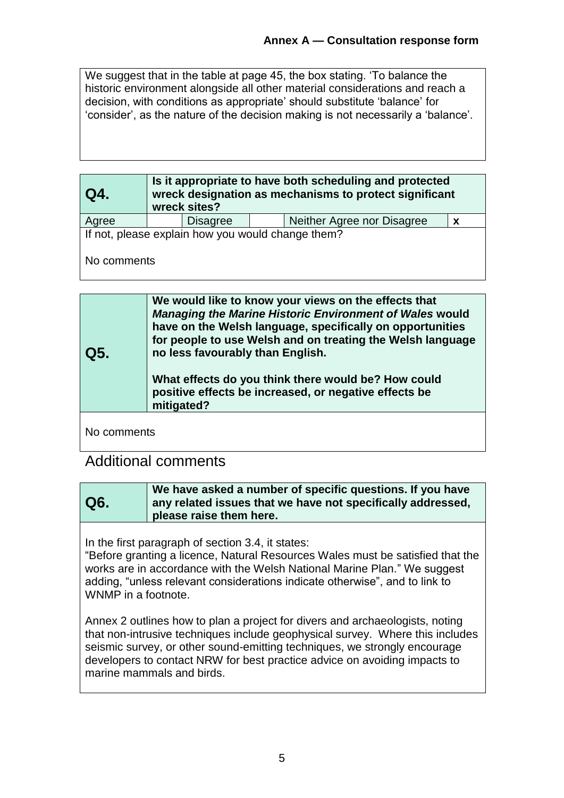We suggest that in the table at page 45, the box stating. 'To balance the historic environment alongside all other material considerations and reach a decision, with conditions as appropriate' should substitute 'balance' for 'consider', as the nature of the decision making is not necessarily a 'balance'.

| Q4.                                               | Is it appropriate to have both scheduling and protected<br>wreck designation as mechanisms to protect significant<br>wreck sites? |                 |  |                            |              |
|---------------------------------------------------|-----------------------------------------------------------------------------------------------------------------------------------|-----------------|--|----------------------------|--------------|
| Agree                                             |                                                                                                                                   | <b>Disagree</b> |  | Neither Agree nor Disagree | $\mathbf{x}$ |
| If not, please explain how you would change them? |                                                                                                                                   |                 |  |                            |              |
| No comments                                       |                                                                                                                                   |                 |  |                            |              |

| Q5. | We would like to know your views on the effects that<br><b>Managing the Marine Historic Environment of Wales would</b><br>have on the Welsh language, specifically on opportunities<br>for people to use Welsh and on treating the Welsh language<br>no less favourably than English.<br>What effects do you think there would be? How could<br>positive effects be increased, or negative effects be<br>mitigated? |
|-----|---------------------------------------------------------------------------------------------------------------------------------------------------------------------------------------------------------------------------------------------------------------------------------------------------------------------------------------------------------------------------------------------------------------------|
|     |                                                                                                                                                                                                                                                                                                                                                                                                                     |

No comments

## Additional comments

| Q6. | We have asked a number of specific questions. If you have<br>any related issues that we have not specifically addressed,<br>please raise them here. |
|-----|-----------------------------------------------------------------------------------------------------------------------------------------------------|
|-----|-----------------------------------------------------------------------------------------------------------------------------------------------------|

In the first paragraph of section 3.4, it states:

"Before granting a licence, Natural Resources Wales must be satisfied that the works are in accordance with the Welsh National Marine Plan." We suggest adding, "unless relevant considerations indicate otherwise", and to link to WNMP in a footnote.

Annex 2 outlines how to plan a project for divers and archaeologists, noting that non-intrusive techniques include geophysical survey. Where this includes seismic survey, or other sound-emitting techniques, we strongly encourage developers to contact NRW for best practice advice on avoiding impacts to marine mammals and birds.